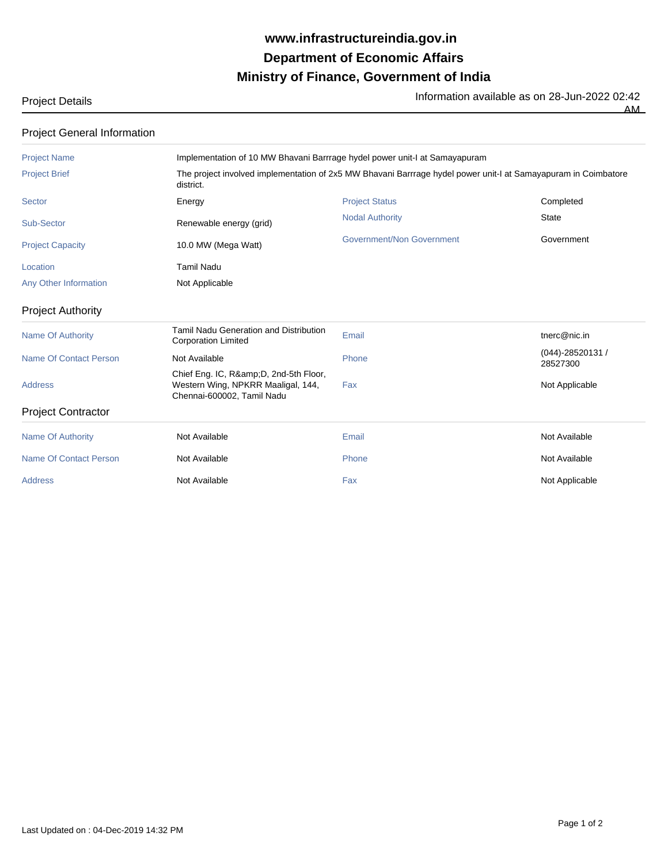## **Ministry of Finance, Government of India Department of Economic Affairs www.infrastructureindia.gov.in**

Information available as on 28-Jun-2022 02:42

AM

| <b>Project Details</b> |  |  |
|------------------------|--|--|
|                        |  |  |

| <b>Project General Information</b> |                                                                                                        |                                                                                                                |                              |  |  |
|------------------------------------|--------------------------------------------------------------------------------------------------------|----------------------------------------------------------------------------------------------------------------|------------------------------|--|--|
| <b>Project Name</b>                | Implementation of 10 MW Bhavani Barrrage hydel power unit-I at Samayapuram                             |                                                                                                                |                              |  |  |
| <b>Project Brief</b>               | district.                                                                                              | The project involved implementation of 2x5 MW Bhavani Barrrage hydel power unit-I at Samayapuram in Coimbatore |                              |  |  |
| <b>Sector</b>                      | Energy                                                                                                 | <b>Project Status</b>                                                                                          | Completed                    |  |  |
| <b>Sub-Sector</b>                  | Renewable energy (grid)                                                                                | <b>Nodal Authority</b>                                                                                         | <b>State</b>                 |  |  |
| <b>Project Capacity</b>            | 10.0 MW (Mega Watt)                                                                                    | <b>Government/Non Government</b>                                                                               | Government                   |  |  |
| Location                           | <b>Tamil Nadu</b>                                                                                      |                                                                                                                |                              |  |  |
| Any Other Information              | Not Applicable                                                                                         |                                                                                                                |                              |  |  |
| <b>Project Authority</b>           |                                                                                                        |                                                                                                                |                              |  |  |
| <b>Name Of Authority</b>           | <b>Tamil Nadu Generation and Distribution</b><br><b>Corporation Limited</b>                            | Email                                                                                                          | tnerc@nic.in                 |  |  |
| <b>Name Of Contact Person</b>      | Not Available                                                                                          | Phone                                                                                                          | (044)-28520131 /<br>28527300 |  |  |
| <b>Address</b>                     | Chief Eng. IC, R&D, 2nd-5th Floor,<br>Western Wing, NPKRR Maaligal, 144,<br>Chennai-600002, Tamil Nadu | Fax                                                                                                            | Not Applicable               |  |  |
| <b>Project Contractor</b>          |                                                                                                        |                                                                                                                |                              |  |  |
| <b>Name Of Authority</b>           | Not Available                                                                                          | Email                                                                                                          | Not Available                |  |  |
| <b>Name Of Contact Person</b>      | Not Available                                                                                          | Phone                                                                                                          | Not Available                |  |  |
| <b>Address</b>                     | Not Available                                                                                          | Fax                                                                                                            | Not Applicable               |  |  |
|                                    |                                                                                                        |                                                                                                                |                              |  |  |